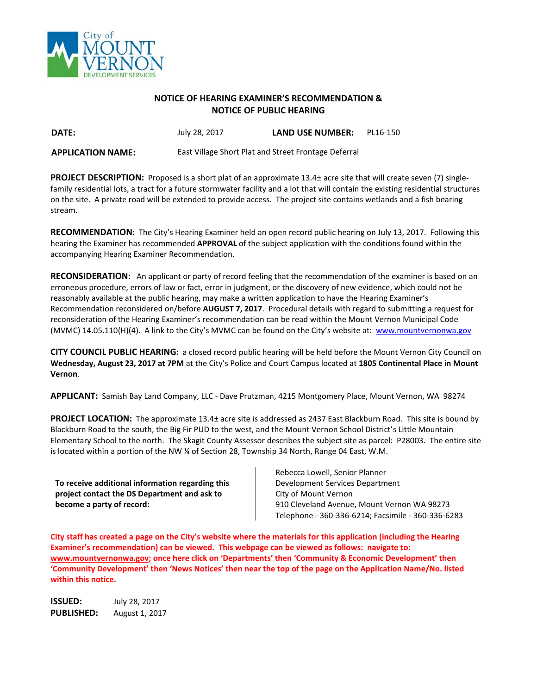

### **NOTICE OF HEARING EXAMINER'S RECOMMENDATION & NOTICE OF PUBLIC HEARING**

**DATE:** July 28, 2017 **LAND USE NUMBER:** PL16-150

**APPLICATION NAME:** East Village Short Plat and Street Frontage Deferral

**PROJECT DESCRIPTION:** Proposed is a short plat of an approximate 13.4± acre site that will create seven (7) singlefamily residential lots, a tract for a future stormwater facility and a lot that will contain the existing residential structures on the site. A private road will be extended to provide access. The project site contains wetlands and a fish bearing stream.

**RECOMMENDATION:** The City's Hearing Examiner held an open record public hearing on July 13, 2017. Following this hearing the Examiner has recommended **APPROVAL** of the subject application with the conditions found within the accompanying Hearing Examiner Recommendation.

**RECONSIDERATION**: An applicant or party of record feeling that the recommendation of the examiner is based on an erroneous procedure, errors of law or fact, error in judgment, or the discovery of new evidence, which could not be reasonably available at the public hearing, may make a written application to have the Hearing Examiner's Recommendation reconsidered on/before **AUGUST 7, 2017**. Procedural details with regard to submitting a request for reconsideration of the Hearing Examiner's recommendation can be read within the Mount Vernon Municipal Code (MVMC) 14.05.110(H)(4). A link to the City's MVMC can be found on the City's website at: [www.mountvernonwa.gov](http://www.mountvernonwa.gov/)

**CITY COUNCIL PUBLIC HEARING:** a closed record public hearing will be held before the Mount Vernon City Council on **Wednesday, August 23, 2017 at 7PM** at the City's Police and Court Campus located at **1805 Continental Place in Mount Vernon**.

**APPLICANT:** Samish Bay Land Company, LLC - Dave Prutzman, 4215 Montgomery Place, Mount Vernon, WA 98274

**PROJECT LOCATION:** The approximate 13.4± acre site is addressed as 2437 East Blackburn Road. This site is bound by Blackburn Road to the south, the Big Fir PUD to the west, and the Mount Vernon School District's Little Mountain Elementary School to the north. The Skagit County Assessor describes the subject site as parcel: P28003. The entire site is located within a portion of the NW % of Section 28, Township 34 North, Range 04 East, W.M.

**To receive additional information regarding this project contact the DS Department and ask to become a party of record:**

Rebecca Lowell, Senior Planner Development Services Department City of Mount Vernon 910 Cleveland Avenue, Mount Vernon WA 98273 Telephone - 360-336-6214; Facsimile - 360-336-6283

**City staff has created a page on the City's website where the materials for this application (including the Hearing Examiner's recommendation) can be viewed. This webpage can be viewed as follows: navigate to: [www.mountvernonwa.gov;](http://www.mountvernonwa.gov/) once here click on 'Departments' then 'Community & Economic Development' then 'Community Development' then 'News Notices' then near the top of the page on the Application Name/No. listed within this notice.** 

**ISSUED:** July 28, 2017 **PUBLISHED:** August 1, 2017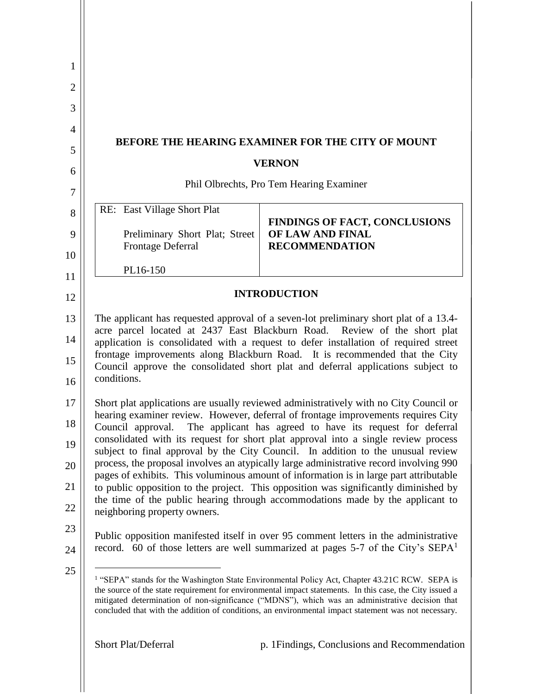| 1              |                                                                                                                                                                                                                                                                                                                                                                                                                                  |                                                                                                                                                                                |  |  |
|----------------|----------------------------------------------------------------------------------------------------------------------------------------------------------------------------------------------------------------------------------------------------------------------------------------------------------------------------------------------------------------------------------------------------------------------------------|--------------------------------------------------------------------------------------------------------------------------------------------------------------------------------|--|--|
| $\overline{2}$ |                                                                                                                                                                                                                                                                                                                                                                                                                                  |                                                                                                                                                                                |  |  |
| 3              |                                                                                                                                                                                                                                                                                                                                                                                                                                  |                                                                                                                                                                                |  |  |
| 4              |                                                                                                                                                                                                                                                                                                                                                                                                                                  |                                                                                                                                                                                |  |  |
| 5              | BEFORE THE HEARING EXAMINER FOR THE CITY OF MOUNT                                                                                                                                                                                                                                                                                                                                                                                |                                                                                                                                                                                |  |  |
| 6              | <b>VERNON</b>                                                                                                                                                                                                                                                                                                                                                                                                                    |                                                                                                                                                                                |  |  |
| 7              |                                                                                                                                                                                                                                                                                                                                                                                                                                  | Phil Olbrechts, Pro Tem Hearing Examiner                                                                                                                                       |  |  |
| 8              | RE: East Village Short Plat                                                                                                                                                                                                                                                                                                                                                                                                      | FINDINGS OF FACT, CONCLUSIONS                                                                                                                                                  |  |  |
| 9              | Preliminary Short Plat; Street<br><b>Frontage Deferral</b>                                                                                                                                                                                                                                                                                                                                                                       | OF LAW AND FINAL<br><b>RECOMMENDATION</b>                                                                                                                                      |  |  |
| 10             |                                                                                                                                                                                                                                                                                                                                                                                                                                  |                                                                                                                                                                                |  |  |
| 11             | PL16-150                                                                                                                                                                                                                                                                                                                                                                                                                         |                                                                                                                                                                                |  |  |
| 12             |                                                                                                                                                                                                                                                                                                                                                                                                                                  | <b>INTRODUCTION</b>                                                                                                                                                            |  |  |
| 13             | The applicant has requested approval of a seven-lot preliminary short plat of a 13.4-                                                                                                                                                                                                                                                                                                                                            |                                                                                                                                                                                |  |  |
| 14             | acre parcel located at 2437 East Blackburn Road.<br>Review of the short plat<br>application is consolidated with a request to defer installation of required street<br>frontage improvements along Blackburn Road. It is recommended that the City<br>Council approve the consolidated short plat and deferral applications subject to<br>conditions.                                                                            |                                                                                                                                                                                |  |  |
| 15<br>16       |                                                                                                                                                                                                                                                                                                                                                                                                                                  |                                                                                                                                                                                |  |  |
| 17             |                                                                                                                                                                                                                                                                                                                                                                                                                                  | Short plat applications are usually reviewed administratively with no City Council or                                                                                          |  |  |
| 18             | Council approval.                                                                                                                                                                                                                                                                                                                                                                                                                | hearing examiner review. However, deferral of frontage improvements requires City<br>The applicant has agreed to have its request for deferral                                 |  |  |
| 19             |                                                                                                                                                                                                                                                                                                                                                                                                                                  | consolidated with its request for short plat approval into a single review process<br>subject to final approval by the City Council. In addition to the unusual review         |  |  |
| 20             |                                                                                                                                                                                                                                                                                                                                                                                                                                  | process, the proposal involves an atypically large administrative record involving 990                                                                                         |  |  |
| 21             |                                                                                                                                                                                                                                                                                                                                                                                                                                  | pages of exhibits. This voluminous amount of information is in large part attributable<br>to public opposition to the project. This opposition was significantly diminished by |  |  |
| 22             | the time of the public hearing through accommodations made by the applicant to<br>neighboring property owners.                                                                                                                                                                                                                                                                                                                   |                                                                                                                                                                                |  |  |
| 23             |                                                                                                                                                                                                                                                                                                                                                                                                                                  | Public opposition manifested itself in over 95 comment letters in the administrative                                                                                           |  |  |
| 24             |                                                                                                                                                                                                                                                                                                                                                                                                                                  | record. 60 of those letters are well summarized at pages 5-7 of the City's SEPA <sup>1</sup>                                                                                   |  |  |
| 25             | <sup>1</sup> "SEPA" stands for the Washington State Environmental Policy Act, Chapter 43.21C RCW. SEPA is<br>the source of the state requirement for environmental impact statements. In this case, the City issued a<br>mitigated determination of non-significance ("MDNS"), which was an administrative decision that<br>concluded that with the addition of conditions, an environmental impact statement was not necessary. |                                                                                                                                                                                |  |  |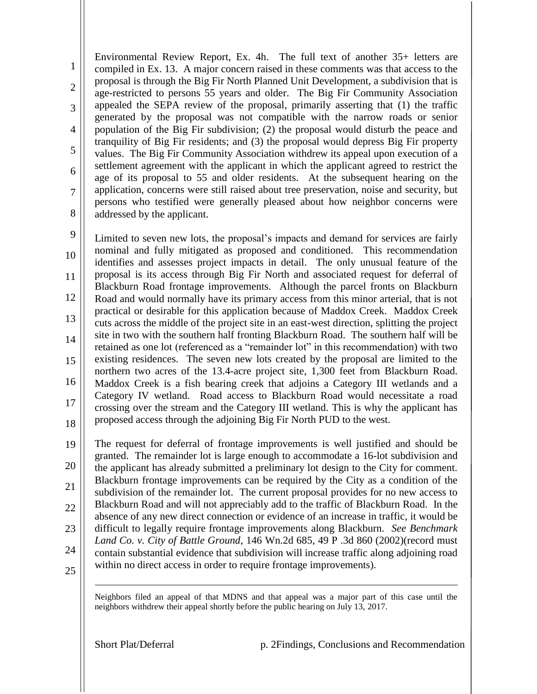1 2 3 4 5 6 7 8 Environmental Review Report, Ex. 4h. The full text of another 35+ letters are compiled in Ex. 13. A major concern raised in these comments was that access to the proposal is through the Big Fir North Planned Unit Development, a subdivision that is age-restricted to persons 55 years and older. The Big Fir Community Association appealed the SEPA review of the proposal, primarily asserting that (1) the traffic generated by the proposal was not compatible with the narrow roads or senior population of the Big Fir subdivision; (2) the proposal would disturb the peace and tranquility of Big Fir residents; and (3) the proposal would depress Big Fir property values. The Big Fir Community Association withdrew its appeal upon execution of a settlement agreement with the applicant in which the applicant agreed to restrict the age of its proposal to 55 and older residents. At the subsequent hearing on the application, concerns were still raised about tree preservation, noise and security, but persons who testified were generally pleased about how neighbor concerns were addressed by the applicant.

9 10 11 12 13 14 15 16 17 18 Limited to seven new lots, the proposal's impacts and demand for services are fairly nominal and fully mitigated as proposed and conditioned. This recommendation identifies and assesses project impacts in detail. The only unusual feature of the proposal is its access through Big Fir North and associated request for deferral of Blackburn Road frontage improvements. Although the parcel fronts on Blackburn Road and would normally have its primary access from this minor arterial, that is not practical or desirable for this application because of Maddox Creek. Maddox Creek cuts across the middle of the project site in an east-west direction, splitting the project site in two with the southern half fronting Blackburn Road. The southern half will be retained as one lot (referenced as a "remainder lot" in this recommendation) with two existing residences. The seven new lots created by the proposal are limited to the northern two acres of the 13.4-acre project site, 1,300 feet from Blackburn Road. Maddox Creek is a fish bearing creek that adjoins a Category III wetlands and a Category IV wetland. Road access to Blackburn Road would necessitate a road crossing over the stream and the Category III wetland. This is why the applicant has proposed access through the adjoining Big Fir North PUD to the west.

19 20 21 22 23 24 The request for deferral of frontage improvements is well justified and should be granted. The remainder lot is large enough to accommodate a 16-lot subdivision and the applicant has already submitted a preliminary lot design to the City for comment. Blackburn frontage improvements can be required by the City as a condition of the subdivision of the remainder lot. The current proposal provides for no new access to Blackburn Road and will not appreciably add to the traffic of Blackburn Road. In the absence of any new direct connection or evidence of an increase in traffic, it would be difficult to legally require frontage improvements along Blackburn. *See Benchmark Land Co. v. City of Battle Ground*, 146 Wn.2d 685, 49 P .3d 860 (2002)(record must contain substantial evidence that subdivision will increase traffic along adjoining road within no direct access in order to require frontage improvements).

25

 $\overline{a}$ 

Neighbors filed an appeal of that MDNS and that appeal was a major part of this case until the neighbors withdrew their appeal shortly before the public hearing on July 13, 2017.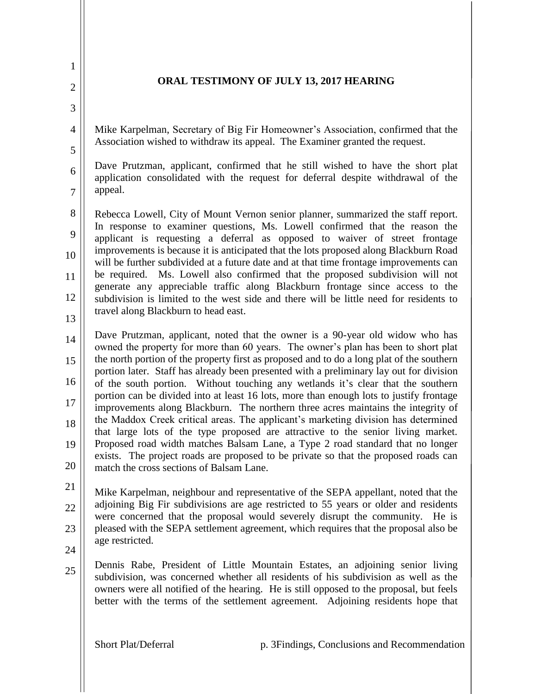# **ORAL TESTIMONY OF JULY 13, 2017 HEARING**

Mike Karpelman, Secretary of Big Fir Homeowner's Association, confirmed that the Association wished to withdraw its appeal. The Examiner granted the request.

Dave Prutzman, applicant, confirmed that he still wished to have the short plat application consolidated with the request for deferral despite withdrawal of the appeal.

8 9 10 11 12 Rebecca Lowell, City of Mount Vernon senior planner, summarized the staff report. In response to examiner questions, Ms. Lowell confirmed that the reason the applicant is requesting a deferral as opposed to waiver of street frontage improvements is because it is anticipated that the lots proposed along Blackburn Road will be further subdivided at a future date and at that time frontage improvements can be required. Ms. Lowell also confirmed that the proposed subdivision will not generate any appreciable traffic along Blackburn frontage since access to the subdivision is limited to the west side and there will be little need for residents to travel along Blackburn to head east.

13

1

2

3

4

5

6

7

14 15 16 17 18 19 20 Dave Prutzman, applicant, noted that the owner is a 90-year old widow who has owned the property for more than 60 years. The owner's plan has been to short plat the north portion of the property first as proposed and to do a long plat of the southern portion later. Staff has already been presented with a preliminary lay out for division of the south portion. Without touching any wetlands it's clear that the southern portion can be divided into at least 16 lots, more than enough lots to justify frontage improvements along Blackburn. The northern three acres maintains the integrity of the Maddox Creek critical areas. The applicant's marketing division has determined that large lots of the type proposed are attractive to the senior living market. Proposed road width matches Balsam Lane, a Type 2 road standard that no longer exists. The project roads are proposed to be private so that the proposed roads can match the cross sections of Balsam Lane.

21 22 23 Mike Karpelman, neighbour and representative of the SEPA appellant, noted that the adjoining Big Fir subdivisions are age restricted to 55 years or older and residents were concerned that the proposal would severely disrupt the community. He is pleased with the SEPA settlement agreement, which requires that the proposal also be age restricted.

24

25 Dennis Rabe, President of Little Mountain Estates, an adjoining senior living subdivision, was concerned whether all residents of his subdivision as well as the owners were all notified of the hearing. He is still opposed to the proposal, but feels better with the terms of the settlement agreement. Adjoining residents hope that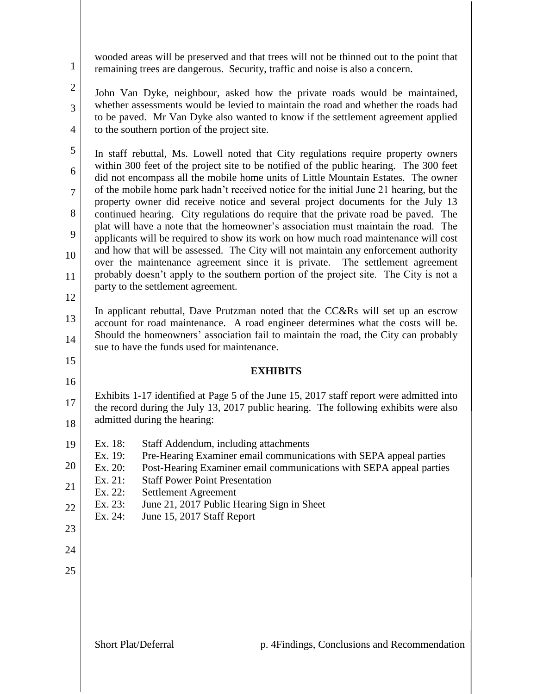wooded areas will be preserved and that trees will not be thinned out to the point that remaining trees are dangerous. Security, traffic and noise is also a concern.

John Van Dyke, neighbour, asked how the private roads would be maintained, whether assessments would be levied to maintain the road and whether the roads had to be paved. Mr Van Dyke also wanted to know if the settlement agreement applied to the southern portion of the project site.

5 6 7 8 9 10 11 12 In staff rebuttal, Ms. Lowell noted that City regulations require property owners within 300 feet of the project site to be notified of the public hearing. The 300 feet did not encompass all the mobile home units of Little Mountain Estates. The owner of the mobile home park hadn't received notice for the initial June 21 hearing, but the property owner did receive notice and several project documents for the July 13 continued hearing. City regulations do require that the private road be paved. The plat will have a note that the homeowner's association must maintain the road. The applicants will be required to show its work on how much road maintenance will cost and how that will be assessed. The City will not maintain any enforcement authority over the maintenance agreement since it is private. The settlement agreement probably doesn't apply to the southern portion of the project site. The City is not a party to the settlement agreement.

13 14 In applicant rebuttal, Dave Prutzman noted that the CC&Rs will set up an escrow account for road maintenance. A road engineer determines what the costs will be. Should the homeowners' association fail to maintain the road, the City can probably sue to have the funds used for maintenance.

# **EXHIBITS**

17 18 Exhibits 1-17 identified at Page 5 of the June 15, 2017 staff report were admitted into the record during the July 13, 2017 public hearing. The following exhibits were also admitted during the hearing:

- 19 Ex. 18: Staff Addendum, including attachments
	- Ex. 19: Pre-Hearing Examiner email communications with SEPA appeal parties
- 20 Ex. 20: Post-Hearing Examiner email communications with SEPA appeal parties
- 21 Ex. 21: Staff Power Point Presentation
- Ex. 22: Settlement Agreement
- 22 Ex. 23: June 21, 2017 Public Hearing Sign in Sheet
- Ex. 24: June 15, 2017 Staff Report
- 23

15

16

1

2

3

4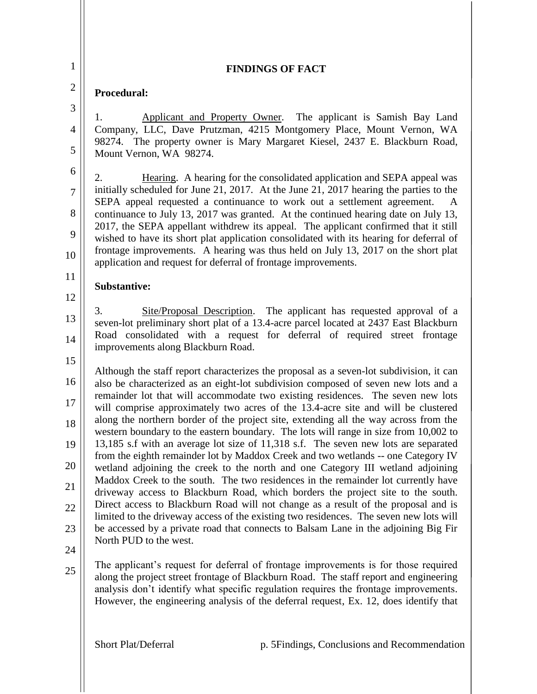| 1                                                            | <b>FINDINGS OF FACT</b>                                                                                                                                                                                                                                                                                                                                                                                                                                                                                                                                                                                                                                                                                                                                                                                                                                                                                                                                                                                                                                                                                                                                                                                                                                                       |  |  |  |
|--------------------------------------------------------------|-------------------------------------------------------------------------------------------------------------------------------------------------------------------------------------------------------------------------------------------------------------------------------------------------------------------------------------------------------------------------------------------------------------------------------------------------------------------------------------------------------------------------------------------------------------------------------------------------------------------------------------------------------------------------------------------------------------------------------------------------------------------------------------------------------------------------------------------------------------------------------------------------------------------------------------------------------------------------------------------------------------------------------------------------------------------------------------------------------------------------------------------------------------------------------------------------------------------------------------------------------------------------------|--|--|--|
| $\overline{2}$                                               | Procedural:                                                                                                                                                                                                                                                                                                                                                                                                                                                                                                                                                                                                                                                                                                                                                                                                                                                                                                                                                                                                                                                                                                                                                                                                                                                                   |  |  |  |
| 3                                                            | Applicant and Property Owner. The applicant is Samish Bay Land<br>1.                                                                                                                                                                                                                                                                                                                                                                                                                                                                                                                                                                                                                                                                                                                                                                                                                                                                                                                                                                                                                                                                                                                                                                                                          |  |  |  |
| $\overline{4}$<br>5                                          | Company, LLC, Dave Prutzman, 4215 Montgomery Place, Mount Vernon, WA<br>98274. The property owner is Mary Margaret Kiesel, 2437 E. Blackburn Road,<br>Mount Vernon, WA 98274.                                                                                                                                                                                                                                                                                                                                                                                                                                                                                                                                                                                                                                                                                                                                                                                                                                                                                                                                                                                                                                                                                                 |  |  |  |
| 6<br>$\overline{7}$<br>8<br>9<br>10                          | Hearing. A hearing for the consolidated application and SEPA appeal was<br>2.<br>initially scheduled for June 21, 2017. At the June 21, 2017 hearing the parties to the<br>SEPA appeal requested a continuance to work out a settlement agreement.<br>A<br>continuance to July 13, 2017 was granted. At the continued hearing date on July 13,<br>2017, the SEPA appellant withdrew its appeal. The applicant confirmed that it still<br>wished to have its short plat application consolidated with its hearing for deferral of<br>frontage improvements. A hearing was thus held on July 13, 2017 on the short plat<br>application and request for deferral of frontage improvements.                                                                                                                                                                                                                                                                                                                                                                                                                                                                                                                                                                                       |  |  |  |
| 11                                                           | <b>Substantive:</b>                                                                                                                                                                                                                                                                                                                                                                                                                                                                                                                                                                                                                                                                                                                                                                                                                                                                                                                                                                                                                                                                                                                                                                                                                                                           |  |  |  |
| 12                                                           |                                                                                                                                                                                                                                                                                                                                                                                                                                                                                                                                                                                                                                                                                                                                                                                                                                                                                                                                                                                                                                                                                                                                                                                                                                                                               |  |  |  |
| 13<br>14                                                     | 3.<br>Site/Proposal Description. The applicant has requested approval of a<br>seven-lot preliminary short plat of a 13.4-acre parcel located at 2437 East Blackburn<br>Road consolidated with a request for deferral of required street frontage<br>improvements along Blackburn Road.                                                                                                                                                                                                                                                                                                                                                                                                                                                                                                                                                                                                                                                                                                                                                                                                                                                                                                                                                                                        |  |  |  |
| 15<br>16<br>$17\,$<br>18<br>19<br>20<br>21<br>22<br>23<br>24 | Although the staff report characterizes the proposal as a seven-lot subdivision, it can<br>also be characterized as an eight-lot subdivision composed of seven new lots and a<br>remainder lot that will accommodate two existing residences. The seven new lots<br>will comprise approximately two acres of the 13.4-acre site and will be clustered<br>along the northern border of the project site, extending all the way across from the<br>western boundary to the eastern boundary. The lots will range in size from 10,002 to<br>13,185 s.f with an average lot size of 11,318 s.f. The seven new lots are separated<br>from the eighth remainder lot by Maddox Creek and two wetlands -- one Category IV<br>wetland adjoining the creek to the north and one Category III wetland adjoining<br>Maddox Creek to the south. The two residences in the remainder lot currently have<br>driveway access to Blackburn Road, which borders the project site to the south.<br>Direct access to Blackburn Road will not change as a result of the proposal and is<br>limited to the driveway access of the existing two residences. The seven new lots will<br>be accessed by a private road that connects to Balsam Lane in the adjoining Big Fir<br>North PUD to the west. |  |  |  |
| 25                                                           | The applicant's request for deferral of frontage improvements is for those required<br>along the project street frontage of Blackburn Road. The staff report and engineering<br>analysis don't identify what specific regulation requires the frontage improvements.<br>However, the engineering analysis of the deferral request, Ex. 12, does identify that                                                                                                                                                                                                                                                                                                                                                                                                                                                                                                                                                                                                                                                                                                                                                                                                                                                                                                                 |  |  |  |
|                                                              | Short Plat/Deferral<br>p. 5 Findings, Conclusions and Recommendation                                                                                                                                                                                                                                                                                                                                                                                                                                                                                                                                                                                                                                                                                                                                                                                                                                                                                                                                                                                                                                                                                                                                                                                                          |  |  |  |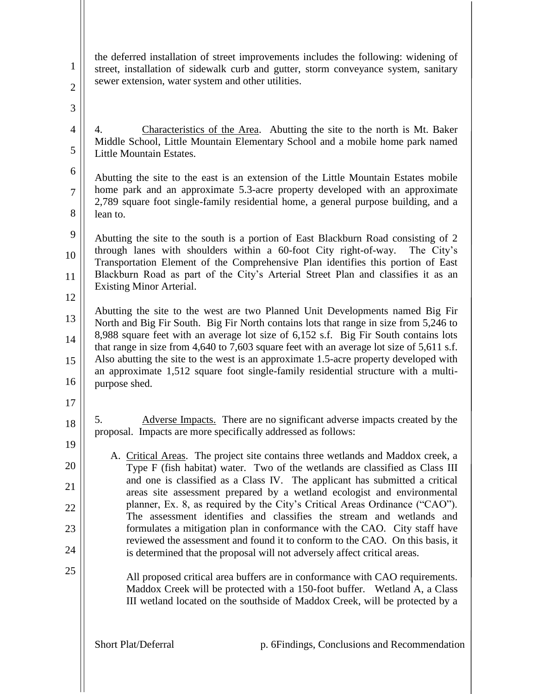the deferred installation of street improvements includes the following: widening of street, installation of sidewalk curb and gutter, storm conveyance system, sanitary sewer extension, water system and other utilities.

3

4

5

6

7

8

1

2

4. Characteristics of the Area. Abutting the site to the north is Mt. Baker Middle School, Little Mountain Elementary School and a mobile home park named Little Mountain Estates.

Abutting the site to the east is an extension of the Little Mountain Estates mobile home park and an approximate 5.3-acre property developed with an approximate 2,789 square foot single-family residential home, a general purpose building, and a lean to.

9 10 11 12 Abutting the site to the south is a portion of East Blackburn Road consisting of 2 through lanes with shoulders within a 60-foot City right-of-way. The City's Transportation Element of the Comprehensive Plan identifies this portion of East Blackburn Road as part of the City's Arterial Street Plan and classifies it as an Existing Minor Arterial.

13 14 15 16 Abutting the site to the west are two Planned Unit Developments named Big Fir North and Big Fir South. Big Fir North contains lots that range in size from 5,246 to 8,988 square feet with an average lot size of 6,152 s.f. Big Fir South contains lots that range in size from 4,640 to 7,603 square feet with an average lot size of 5,611 s.f. Also abutting the site to the west is an approximate 1.5-acre property developed with an approximate 1,512 square foot single-family residential structure with a multipurpose shed.

- 17
- 18

19

20

21

22

23

24

25

5. Adverse Impacts. There are no significant adverse impacts created by the proposal. Impacts are more specifically addressed as follows:

- A. Critical Areas. The project site contains three wetlands and Maddox creek, a Type F (fish habitat) water. Two of the wetlands are classified as Class III and one is classified as a Class IV. The applicant has submitted a critical areas site assessment prepared by a wetland ecologist and environmental planner, Ex. 8, as required by the City's Critical Areas Ordinance ("CAO"). The assessment identifies and classifies the stream and wetlands and formulates a mitigation plan in conformance with the CAO. City staff have reviewed the assessment and found it to conform to the CAO. On this basis, it is determined that the proposal will not adversely affect critical areas.
	- All proposed critical area buffers are in conformance with CAO requirements. Maddox Creek will be protected with a 150-foot buffer. Wetland A, a Class III wetland located on the southside of Maddox Creek, will be protected by a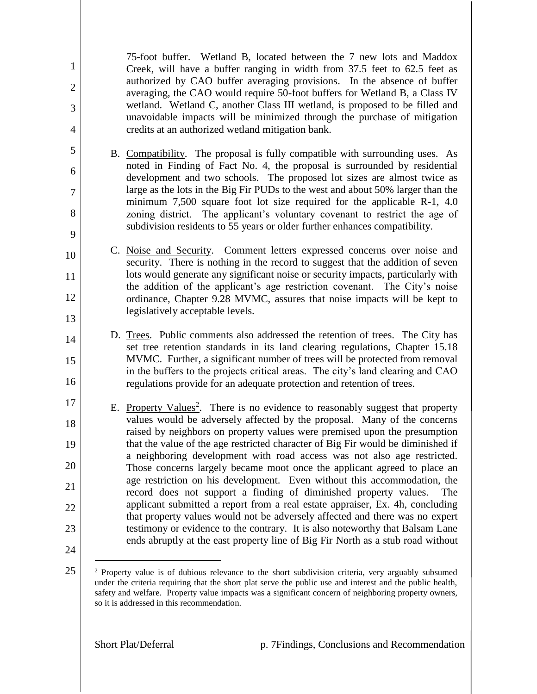75-foot buffer. Wetland B, located between the 7 new lots and Maddox Creek, will have a buffer ranging in width from 37.5 feet to 62.5 feet as authorized by CAO buffer averaging provisions. In the absence of buffer averaging, the CAO would require 50-foot buffers for Wetland B, a Class IV wetland. Wetland C, another Class III wetland, is proposed to be filled and unavoidable impacts will be minimized through the purchase of mitigation credits at an authorized wetland mitigation bank.

- B. Compatibility. The proposal is fully compatible with surrounding uses. As noted in Finding of Fact No. 4, the proposal is surrounded by residential development and two schools. The proposed lot sizes are almost twice as large as the lots in the Big Fir PUDs to the west and about 50% larger than the minimum 7,500 square foot lot size required for the applicable R-1, 4.0 zoning district. The applicant's voluntary covenant to restrict the age of subdivision residents to 55 years or older further enhances compatibility.
- 10 11 12 13 C. Noise and Security. Comment letters expressed concerns over noise and security. There is nothing in the record to suggest that the addition of seven lots would generate any significant noise or security impacts, particularly with the addition of the applicant's age restriction covenant. The City's noise ordinance, Chapter 9.28 MVMC, assures that noise impacts will be kept to legislatively acceptable levels.
	- D. Trees. Public comments also addressed the retention of trees. The City has set tree retention standards in its land clearing regulations, Chapter 15.18 MVMC. Further, a significant number of trees will be protected from removal in the buffers to the projects critical areas. The city's land clearing and CAO regulations provide for an adequate protection and retention of trees.
- 17 18 19 20 21 22 23 24 E. Property Values<sup>2</sup>. There is no evidence to reasonably suggest that property values would be adversely affected by the proposal. Many of the concerns raised by neighbors on property values were premised upon the presumption that the value of the age restricted character of Big Fir would be diminished if a neighboring development with road access was not also age restricted. Those concerns largely became moot once the applicant agreed to place an age restriction on his development. Even without this accommodation, the record does not support a finding of diminished property values. The applicant submitted a report from a real estate appraiser, Ex. 4h, concluding that property values would not be adversely affected and there was no expert testimony or evidence to the contrary. It is also noteworthy that Balsam Lane ends abruptly at the east property line of Big Fir North as a stub road without
- 25

 $\overline{a}$ 

1

2

3

4

5

6

7

8

9

14

15

<sup>&</sup>lt;sup>2</sup> Property value is of dubious relevance to the short subdivision criteria, very arguably subsumed under the criteria requiring that the short plat serve the public use and interest and the public health, safety and welfare. Property value impacts was a significant concern of neighboring property owners, so it is addressed in this recommendation.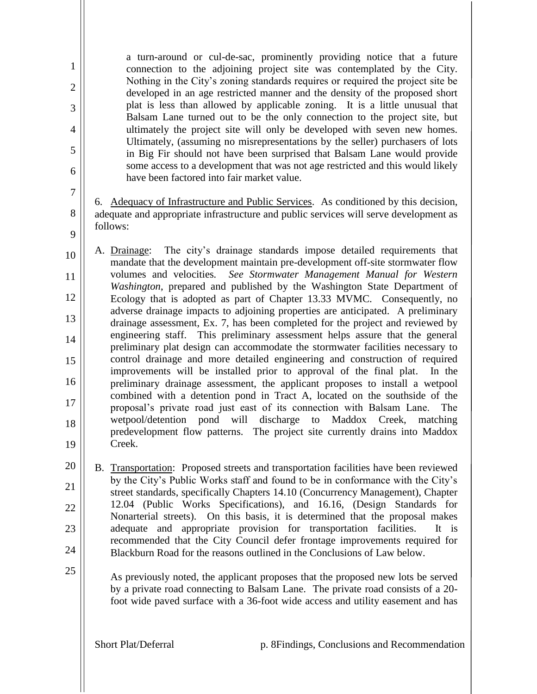a turn-around or cul-de-sac, prominently providing notice that a future connection to the adjoining project site was contemplated by the City. Nothing in the City's zoning standards requires or required the project site be developed in an age restricted manner and the density of the proposed short plat is less than allowed by applicable zoning. It is a little unusual that Balsam Lane turned out to be the only connection to the project site, but ultimately the project site will only be developed with seven new homes. Ultimately, (assuming no misrepresentations by the seller) purchasers of lots in Big Fir should not have been surprised that Balsam Lane would provide some access to a development that was not age restricted and this would likely have been factored into fair market value.

6. Adequacy of Infrastructure and Public Services. As conditioned by this decision, adequate and appropriate infrastructure and public services will serve development as follows:

10 11 12 13 14 15 16 17 18 19 A. Drainage: The city's drainage standards impose detailed requirements that mandate that the development maintain pre-development off-site stormwater flow volumes and velocities*. See Stormwater Management Manual for Western Washington*, prepared and published by the Washington State Department of Ecology that is adopted as part of Chapter 13.33 MVMC. Consequently, no adverse drainage impacts to adjoining properties are anticipated. A preliminary drainage assessment, Ex. 7, has been completed for the project and reviewed by engineering staff. This preliminary assessment helps assure that the general preliminary plat design can accommodate the stormwater facilities necessary to control drainage and more detailed engineering and construction of required improvements will be installed prior to approval of the final plat. In the preliminary drainage assessment, the applicant proposes to install a wetpool combined with a detention pond in Tract A, located on the southside of the proposal's private road just east of its connection with Balsam Lane. The wetpool/detention pond will discharge to Maddox Creek, matching predevelopment flow patterns. The project site currently drains into Maddox Creek.

20 21 22 23 24 B. Transportation: Proposed streets and transportation facilities have been reviewed by the City's Public Works staff and found to be in conformance with the City's street standards, specifically Chapters 14.10 (Concurrency Management), Chapter 12.04 (Public Works Specifications), and 16.16, (Design Standards for Nonarterial streets). On this basis, it is determined that the proposal makes adequate and appropriate provision for transportation facilities. It is recommended that the City Council defer frontage improvements required for Blackburn Road for the reasons outlined in the Conclusions of Law below.

As previously noted, the applicant proposes that the proposed new lots be served by a private road connecting to Balsam Lane. The private road consists of a 20 foot wide paved surface with a 36-foot wide access and utility easement and has

1

2

3

4

5

6

7

8

9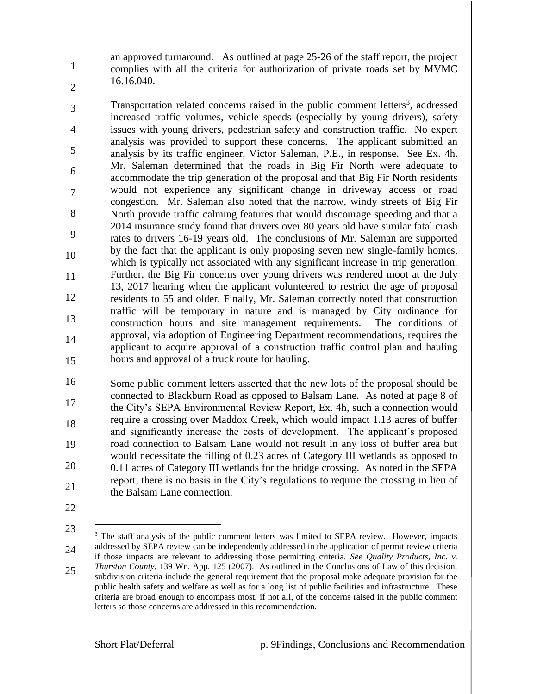an approved turnaround. As outlined at page 25-26 of the staff report, the project complies with all the criteria for authorization of private roads set by MVMC 16.16.040.

Transportation related concerns raised in the public comment letters<sup>3</sup>, addressed increased traffic volumes, vehicle speeds (especially by young drivers), safety issues with young drivers, pedestrian safety and construction traffic. No expert analysis was provided to support these concerns. The applicant submitted an analysis by its traffic engineer, Victor Saleman, P.E., in response. See Ex. 4h. Mr. Saleman determined that the roads in Big Fir North were adequate to accommodate the trip generation of the proposal and that Big Fir North residents would not experience any significant change in driveway access or road congestion. Mr. Saleman also noted that the narrow, windy streets of Big Fir North provide traffic calming features that would discourage speeding and that a 2014 insurance study found that drivers over 80 years old have similar fatal crash rates to drivers 16-19 years old. The conclusions of Mr. Saleman are supported by the fact that the applicant is only proposing seven new single-family homes, which is typically not associated with any significant increase in trip generation. Further, the Big Fir concerns over young drivers was rendered moot at the July 13, 2017 hearing when the applicant volunteered to restrict the age of proposal residents to 55 and older. Finally, Mr. Saleman correctly noted that construction traffic will be temporary in nature and is managed by City ordinance for construction hours and site management requirements. The conditions of approval, via adoption of Engineering Department recommendations, requires the applicant to acquire approval of a construction traffic control plan and hauling hours and approval of a truck route for hauling.

16 17 18 19 20 21 Some public comment letters asserted that the new lots of the proposal should be connected to Blackburn Road as opposed to Balsam Lane. As noted at page 8 of the City's SEPA Environmental Review Report, Ex. 4h, such a connection would require a crossing over Maddox Creek, which would impact 1.13 acres of buffer and significantly increase the costs of development. The applicant's proposed road connection to Balsam Lane would not result in any loss of buffer area but would necessitate the filling of 0.23 acres of Category III wetlands as opposed to 0.11 acres of Category III wetlands for the bridge crossing. As noted in the SEPA report, there is no basis in the City's regulations to require the crossing in lieu of the Balsam Lane connection.

22

 $\overline{a}$ 

1

2

3

4

5

6

7

8

9

10

11

12

13

14

- 23
- 24
- 25

<sup>&</sup>lt;sup>3</sup> The staff analysis of the public comment letters was limited to SEPA review. However, impacts addressed by SEPA review can be independently addressed in the application of permit review criteria if those impacts are relevant to addressing those permitting criteria. *See Quality Products, Inc. v. Thurston County*, 139 Wn. App. 125 (2007). As outlined in the Conclusions of Law of this decision, subdivision criteria include the general requirement that the proposal make adequate provision for the public health safety and welfare as well as for a long list of public facilities and infrastructure. These criteria are broad enough to encompass most, if not all, of the concerns raised in the public comment letters so those concerns are addressed in this recommendation.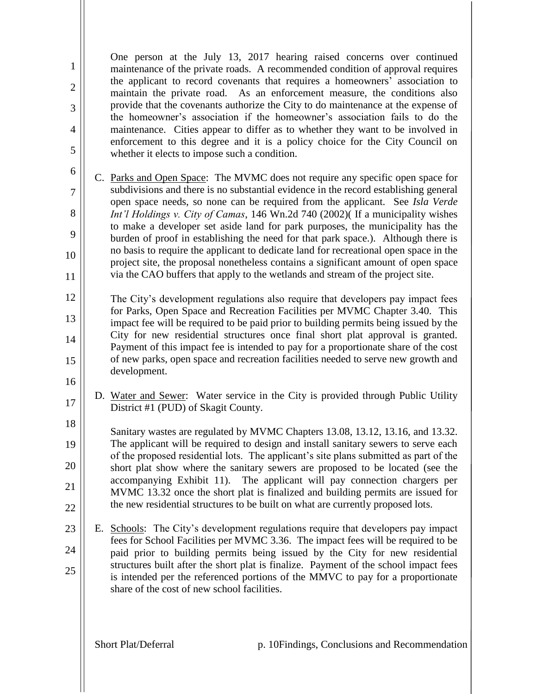One person at the July 13, 2017 hearing raised concerns over continued maintenance of the private roads. A recommended condition of approval requires the applicant to record covenants that requires a homeowners' association to maintain the private road. As an enforcement measure, the conditions also provide that the covenants authorize the City to do maintenance at the expense of the homeowner's association if the homeowner's association fails to do the maintenance. Cities appear to differ as to whether they want to be involved in enforcement to this degree and it is a policy choice for the City Council on whether it elects to impose such a condition.

- C. Parks and Open Space: The MVMC does not require any specific open space for subdivisions and there is no substantial evidence in the record establishing general open space needs, so none can be required from the applicant. See *Isla Verde Int'l Holdings v. City of Camas*, 146 Wn.2d 740 (2002)( If a municipality wishes to make a developer set aside land for park purposes, the municipality has the burden of proof in establishing the need for that park space.). Although there is no basis to require the applicant to dedicate land for recreational open space in the project site, the proposal nonetheless contains a significant amount of open space via the CAO buffers that apply to the wetlands and stream of the project site.
- 12 13 14 15 The City's development regulations also require that developers pay impact fees for Parks, Open Space and Recreation Facilities per MVMC Chapter 3.40. This impact fee will be required to be paid prior to building permits being issued by the City for new residential structures once final short plat approval is granted. Payment of this impact fee is intended to pay for a proportionate share of the cost of new parks, open space and recreation facilities needed to serve new growth and development.
- 16 17 D. Water and Sewer: Water service in the City is provided through Public Utility District #1 (PUD) of Skagit County.
	- 18 19 20 21 22 Sanitary wastes are regulated by MVMC Chapters 13.08, 13.12, 13.16, and 13.32. The applicant will be required to design and install sanitary sewers to serve each of the proposed residential lots. The applicant's site plans submitted as part of the short plat show where the sanitary sewers are proposed to be located (see the accompanying Exhibit 11). The applicant will pay connection chargers per MVMC 13.32 once the short plat is finalized and building permits are issued for the new residential structures to be built on what are currently proposed lots.
	- 23 24 25 E. Schools: The City's development regulations require that developers pay impact fees for School Facilities per MVMC 3.36. The impact fees will be required to be paid prior to building permits being issued by the City for new residential structures built after the short plat is finalize. Payment of the school impact fees is intended per the referenced portions of the MMVC to pay for a proportionate share of the cost of new school facilities.

1

2

3

4

5

6

7

8

9

10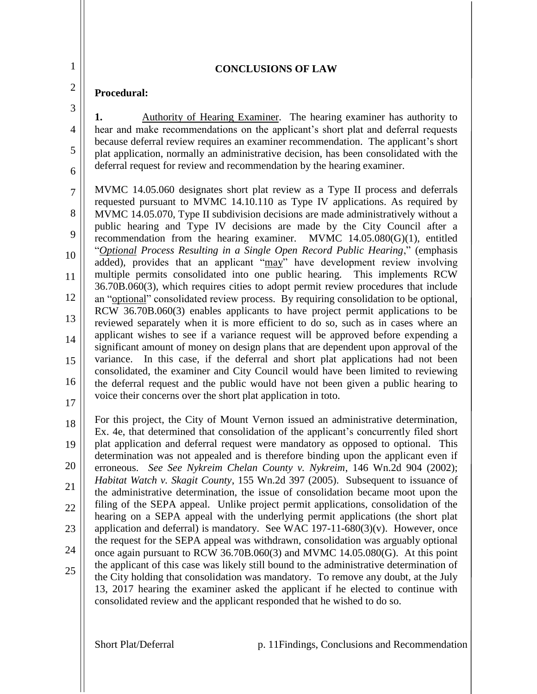3

4

5

6

#### **CONCLUSIONS OF LAW**

### **Procedural:**

**1.** Authority of Hearing Examiner. The hearing examiner has authority to hear and make recommendations on the applicant's short plat and deferral requests because deferral review requires an examiner recommendation. The applicant's short plat application, normally an administrative decision, has been consolidated with the deferral request for review and recommendation by the hearing examiner.

7 8 9 10 11 12 13 14 15 16 MVMC 14.05.060 designates short plat review as a Type II process and deferrals requested pursuant to MVMC 14.10.110 as Type IV applications. As required by MVMC 14.05.070, Type II subdivision decisions are made administratively without a public hearing and Type IV decisions are made by the City Council after a recommendation from the hearing examiner. MVMC 14.05.080(G)(1), entitled "*Optional Process Resulting in a Single Open Record Public Hearing*," (emphasis added), provides that an applicant "may" have development review involving multiple permits consolidated into one public hearing. This implements RCW 36.70B.060(3), which requires cities to adopt permit review procedures that include an "optional" consolidated review process. By requiring consolidation to be optional, RCW 36.70B.060(3) enables applicants to have project permit applications to be reviewed separately when it is more efficient to do so, such as in cases where an applicant wishes to see if a variance request will be approved before expending a significant amount of money on design plans that are dependent upon approval of the variance. In this case, if the deferral and short plat applications had not been consolidated, the examiner and City Council would have been limited to reviewing the deferral request and the public would have not been given a public hearing to voice their concerns over the short plat application in toto.

17

18 19 20 21 22 23 24 25 For this project, the City of Mount Vernon issued an administrative determination, Ex. 4e, that determined that consolidation of the applicant's concurrently filed short plat application and deferral request were mandatory as opposed to optional. This determination was not appealed and is therefore binding upon the applicant even if erroneous. *See See Nykreim Chelan County v. Nykreim*, 146 Wn.2d 904 (2002); *Habitat Watch v. Skagit County*, 155 Wn.2d 397 (2005). Subsequent to issuance of the administrative determination, the issue of consolidation became moot upon the filing of the SEPA appeal. Unlike project permit applications, consolidation of the hearing on a SEPA appeal with the underlying permit applications (the short plat application and deferral) is mandatory. See WAC 197-11-680 $(3)(v)$ . However, once the request for the SEPA appeal was withdrawn, consolidation was arguably optional once again pursuant to RCW 36.70B.060(3) and MVMC 14.05.080(G). At this point the applicant of this case was likely still bound to the administrative determination of the City holding that consolidation was mandatory. To remove any doubt, at the July 13, 2017 hearing the examiner asked the applicant if he elected to continue with consolidated review and the applicant responded that he wished to do so.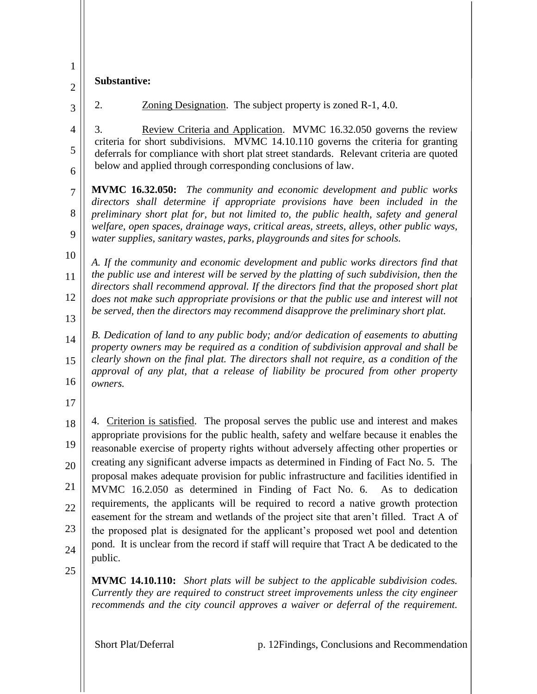| $\mathbf{1}$        | Substantive:                                                                                                                                                                                                                                                          |  |  |  |
|---------------------|-----------------------------------------------------------------------------------------------------------------------------------------------------------------------------------------------------------------------------------------------------------------------|--|--|--|
| $\overline{2}$      |                                                                                                                                                                                                                                                                       |  |  |  |
| 3                   | Zoning Designation. The subject property is zoned R-1, 4.0.<br>2.                                                                                                                                                                                                     |  |  |  |
| $\overline{4}$<br>5 | 3.<br>Review Criteria and Application. MVMC 16.32.050 governs the review<br>criteria for short subdivisions. MVMC 14.10.110 governs the criteria for granting<br>deferrals for compliance with short plat street standards. Relevant criteria are quoted              |  |  |  |
| 6                   | below and applied through corresponding conclusions of law.                                                                                                                                                                                                           |  |  |  |
| $\overline{7}$      | <b>MVMC 16.32.050:</b> The community and economic development and public works<br>directors shall determine if appropriate provisions have been included in the                                                                                                       |  |  |  |
| 8                   | preliminary short plat for, but not limited to, the public health, safety and general<br>welfare, open spaces, drainage ways, critical areas, streets, alleys, other public ways,                                                                                     |  |  |  |
| 9                   | water supplies, sanitary wastes, parks, playgrounds and sites for schools.                                                                                                                                                                                            |  |  |  |
| 10<br>11            | A. If the community and economic development and public works directors find that<br>the public use and interest will be served by the platting of such subdivision, then the                                                                                         |  |  |  |
| 12                  | directors shall recommend approval. If the directors find that the proposed short plat<br>does not make such appropriate provisions or that the public use and interest will not                                                                                      |  |  |  |
| 13                  | be served, then the directors may recommend disapprove the preliminary short plat.                                                                                                                                                                                    |  |  |  |
| 14                  | B. Dedication of land to any public body; and/or dedication of easements to abutting<br>property owners may be required as a condition of subdivision approval and shall be                                                                                           |  |  |  |
| 15                  | clearly shown on the final plat. The directors shall not require, as a condition of the<br>approval of any plat, that a release of liability be procured from other property                                                                                          |  |  |  |
| 16                  | owners.                                                                                                                                                                                                                                                               |  |  |  |
| 17                  |                                                                                                                                                                                                                                                                       |  |  |  |
| 18                  | 4. Criterion is satisfied. The proposal serves the public use and interest and makes<br>appropriate provisions for the public health, safety and welfare because it enables the                                                                                       |  |  |  |
| 19                  | reasonable exercise of property rights without adversely affecting other properties or                                                                                                                                                                                |  |  |  |
| 20                  | creating any significant adverse impacts as determined in Finding of Fact No. 5. The<br>proposal makes adequate provision for public infrastructure and facilities identified in                                                                                      |  |  |  |
| 21                  | MVMC 16.2.050 as determined in Finding of Fact No. 6. As to dedication<br>requirements, the applicants will be required to record a native growth protection                                                                                                          |  |  |  |
| 22<br>23            | easement for the stream and wetlands of the project site that aren't filled. Tract A of                                                                                                                                                                               |  |  |  |
|                     | the proposed plat is designated for the applicant's proposed wet pool and detention<br>pond. It is unclear from the record if staff will require that Tract A be dedicated to the                                                                                     |  |  |  |
| 24<br>25            | public.                                                                                                                                                                                                                                                               |  |  |  |
|                     | <b>MVMC 14.10.110:</b> Short plats will be subject to the applicable subdivision codes.<br>Currently they are required to construct street improvements unless the city engineer<br>recommends and the city council approves a waiver or deferral of the requirement. |  |  |  |
|                     | Short Plat/Deferral<br>p. 12 Findings, Conclusions and Recommendation                                                                                                                                                                                                 |  |  |  |

L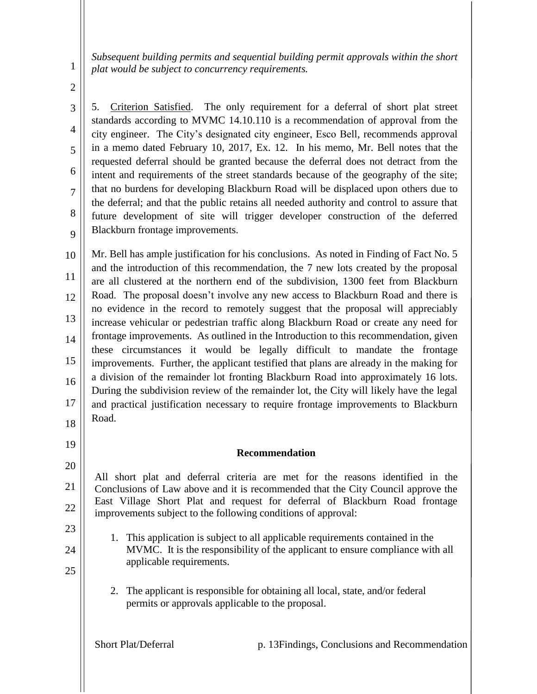*Subsequent building permits and sequential building permit approvals within the short plat would be subject to concurrency requirements.*

2

3

4

5

6

7

8

9

19

20

21

23

24

25

1

5. Criterion Satisfied. The only requirement for a deferral of short plat street standards according to MVMC 14.10.110 is a recommendation of approval from the city engineer. The City's designated city engineer, Esco Bell, recommends approval in a memo dated February 10, 2017, Ex. 12. In his memo, Mr. Bell notes that the requested deferral should be granted because the deferral does not detract from the intent and requirements of the street standards because of the geography of the site; that no burdens for developing Blackburn Road will be displaced upon others due to the deferral; and that the public retains all needed authority and control to assure that future development of site will trigger developer construction of the deferred Blackburn frontage improvements.

10 11 12 13 14 15 16 17 18 Mr. Bell has ample justification for his conclusions. As noted in Finding of Fact No. 5 and the introduction of this recommendation, the 7 new lots created by the proposal are all clustered at the northern end of the subdivision, 1300 feet from Blackburn Road. The proposal doesn't involve any new access to Blackburn Road and there is no evidence in the record to remotely suggest that the proposal will appreciably increase vehicular or pedestrian traffic along Blackburn Road or create any need for frontage improvements. As outlined in the Introduction to this recommendation, given these circumstances it would be legally difficult to mandate the frontage improvements. Further, the applicant testified that plans are already in the making for a division of the remainder lot fronting Blackburn Road into approximately 16 lots. During the subdivision review of the remainder lot, the City will likely have the legal and practical justification necessary to require frontage improvements to Blackburn Road.

## **Recommendation**

22 All short plat and deferral criteria are met for the reasons identified in the Conclusions of Law above and it is recommended that the City Council approve the East Village Short Plat and request for deferral of Blackburn Road frontage improvements subject to the following conditions of approval:

- 1. This application is subject to all applicable requirements contained in the MVMC. It is the responsibility of the applicant to ensure compliance with all applicable requirements.
	- 2. The applicant is responsible for obtaining all local, state, and/or federal permits or approvals applicable to the proposal.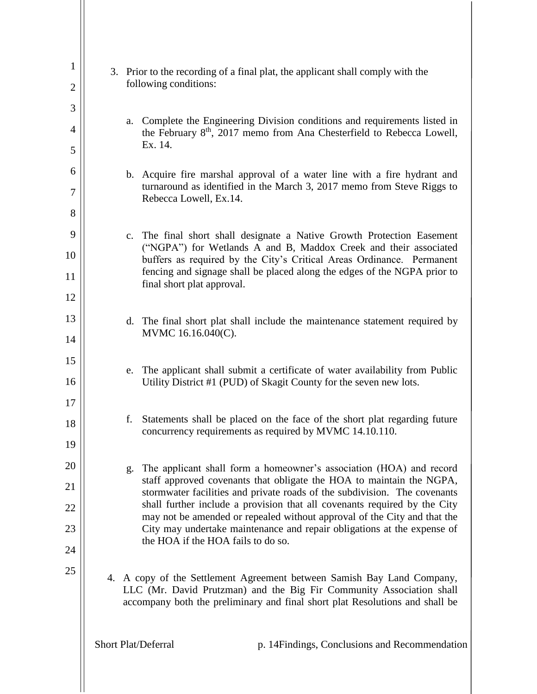| 1              |    | 3. Prior to the recording of a final plat, the applicant shall comply with the                                                                               |  |  |  |
|----------------|----|--------------------------------------------------------------------------------------------------------------------------------------------------------------|--|--|--|
| $\overline{2}$ |    | following conditions:                                                                                                                                        |  |  |  |
| 3              |    |                                                                                                                                                              |  |  |  |
| $\overline{4}$ | a. | Complete the Engineering Division conditions and requirements listed in<br>the February 8 <sup>th</sup> , 2017 memo from Ana Chesterfield to Rebecca Lowell, |  |  |  |
| 5              |    | Ex. 14.                                                                                                                                                      |  |  |  |
| 6              |    | b. Acquire fire marshal approval of a water line with a fire hydrant and                                                                                     |  |  |  |
| 7              |    | turnaround as identified in the March 3, 2017 memo from Steve Riggs to<br>Rebecca Lowell, Ex.14.                                                             |  |  |  |
| 8              |    |                                                                                                                                                              |  |  |  |
| 9              |    | c. The final short shall designate a Native Growth Protection Easement<br>("NGPA") for Wetlands A and B, Maddox Creek and their associated                   |  |  |  |
| 10             |    | buffers as required by the City's Critical Areas Ordinance. Permanent                                                                                        |  |  |  |
| 11             |    | fencing and signage shall be placed along the edges of the NGPA prior to<br>final short plat approval.                                                       |  |  |  |
| 12             |    |                                                                                                                                                              |  |  |  |
| 13             |    | d. The final short plat shall include the maintenance statement required by<br>MVMC 16.16.040(C).                                                            |  |  |  |
| 14             |    |                                                                                                                                                              |  |  |  |
| 15             | e. | The applicant shall submit a certificate of water availability from Public                                                                                   |  |  |  |
| 16<br>17       |    | Utility District #1 (PUD) of Skagit County for the seven new lots.                                                                                           |  |  |  |
| 18             | f. | Statements shall be placed on the face of the short plat regarding future                                                                                    |  |  |  |
| 19             |    | concurrency requirements as required by MVMC 14.10.110.                                                                                                      |  |  |  |
| 20             | g. | The applicant shall form a homeowner's association (HOA) and record                                                                                          |  |  |  |
| 21             |    | staff approved covenants that obligate the HOA to maintain the NGPA,                                                                                         |  |  |  |
| 22             |    | stormwater facilities and private roads of the subdivision. The covenants<br>shall further include a provision that all covenants required by the City       |  |  |  |
| 23             |    | may not be amended or repealed without approval of the City and that the<br>City may undertake maintenance and repair obligations at the expense of          |  |  |  |
| 24             |    | the HOA if the HOA fails to do so.                                                                                                                           |  |  |  |
| 25             |    | 4. A copy of the Settlement Agreement between Samish Bay Land Company,<br>LLC (Mr. David Prutzman) and the Big Fir Community Association shall               |  |  |  |
|                |    | accompany both the preliminary and final short plat Resolutions and shall be                                                                                 |  |  |  |
|                |    | Short Plat/Deferral<br>p. 14 Findings, Conclusions and Recommendation                                                                                        |  |  |  |
|                |    |                                                                                                                                                              |  |  |  |